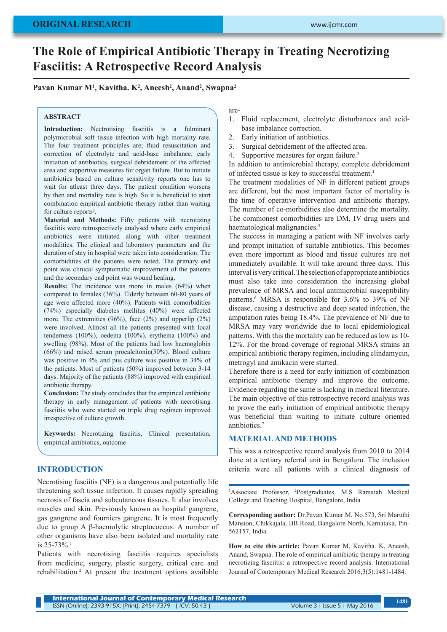# **The Role of Empirical Antibiotic Therapy in Treating Necrotizing Fasciitis: A Retrospective Record Analysis**

**Pavan Kumar M1 , Kavitha. K2 , Aneesh2 , Anand2 , Swapna2**

#### **ABSTRACT**

**Introduction:** Nectrotising fasciitis is a fulminant polymicrobial soft tissue infection with high mortality rate. The four treatment principles are; fluid resuscitation and correction of electrolyte and acid-base imbalance, early initiation of antibiotics, surgical debridement of the affected area and supportive measures for organ failure. But to initiate antibiotics based on culture sensitivity reports one has to wait for atleast three days. The patient condition worsens by then and mortality rate is high. So it is beneficial to start combination empirical antibiotic therapy rather than waiting for culture reports<sup>2</sup>.

**Material and Methods:** Fifty patients with necrotizing fasciitis were retrospectively analysed where early empirical antibiotics were initiated along with other treatment modalities. The clinical and laboratory parameters and the duration of stay in hospital were taken into consideration. The comorbidities of the patients were noted. The primary end point was clinical symptomatic improvement of the patients and the secondary end point was wound healing.

**Results:** The incidence was more in males (64%) when compared to females (36%). Elderly between 60-80 years of age were affected more (40%). Patients with comorbidities (74%) especially diabetes mellitus (40%) were affected more. The extremities (96%), face (2%) and upperlip (2%) were involved. Almost all the patients presented with local tenderness (100%), oedema (100%), erythema (100%) and swelling (98%). Most of the patients had low haemoglobin (66%) and raised serum procalcitonin(50%). Blood culture was positive in 4% and pus culture was positive in 34% of the patients. Most of patients (50%) improved between 3-14 days. Majority of the patients (88%) improved with empirical antibiotic therapy.

**Conclusion:** The study concludes that the empirical antibiotic therapy in early management of patients with necrotising fasciitis who were started on triple drug regimen improved irrespective of culture growth.

**Keywords:** Necrotizing fasciitis, Clinical presentation, empirical antibiotics, outcome

### **INTRODUCTION**

Necrotising fasciitis (NF) is a dangerous and potentially life threatening soft tissue infection. It causes rapidly spreading necrosis of fascia and subcutaneous tissues. It also involves muscles and skin. Previously known as hospital gangrene, gas gangrene and fourniers gangrene. It is most frequently due to group A β-haemolytic streptococcus. A number of other organisms have also been isolated and mortality rate is 25-73%.1

Patients with necrotising fasciitis requires specialists from medicine, surgery, plastic surgery, critical care and rehabilitation.2 At present the treatment options available are-

- 1. Fluid replacement, electrolyte disturbances and acidbase imbalance correction.
- 2. Early initiation of antibiotics.
- 3. Surgical debridement of the affected area.
- 4. Supportive measures for organ failure.<sup>3</sup>

In addition to antimicrobial therapy, complete debridement of infected tissue is key to successful treatment.4

The treatment modalities of NF in different patient groups are different, but the most important factor of mortality is the time of operative intervention and antibiotic therapy. The number of co-morbidities also determine the mortality. The commonest comorbidities are DM, IV drug users and haematological malignancies.<sup>5</sup>

The success in managing a patient with NF involves early and prompt initiation of suitable antibiotics. This becomes even more important as blood and tissue cultures are not immediately available. It will take around three days. This interval is very critical. The selection of appropriate antibiotics must also take into consideration the increasing global prevalence of MRSA and local antimicrobial susceptibility patterns.<sup>6</sup> MRSA is responsible for 3.6% to 39% of NF disease, causing a destructive and deep seated infection, the amputation rates being 18.4%. The prevalence of NF due to MRSA may vary worldwide due to local epidemiological patterns. With this the mortality can be reduced as low as 10- 12%. For the broad coverage of regional MRSA strains an empirical antibiotic therapy regimen, including clindamycin, metrogyl and amikacin were started.

Therefore there is a need for early initiation of combination empirical antibiotic therapy and improve the outcome. Evidence regarding the same is lacking in medical literature. The main objective of this retrospective record analysis was to prove the early initiation of empirical antibiotic therapy was beneficial than waiting to initiate culture oriented antibiotics.<sup>7</sup>

#### **MATERIAL AND METHODS**

This was a retrospective record analysis from 2010 to 2014 done at a tertiary referral unit in Bengaluru. The inclusion criteria were all patients with a clinical diagnosis of

<sup>1</sup>Associate Professor, <sup>2</sup>Postgraduates, M.S Ramaiah Medical College and Teaching Hospital, Bangalore, India

**Corresponding author:** Dr.Pavan Kumar M, No.573, Sri Maruthi Mansion, Chikkajala, BB Road, Bangalore North, Karnataka, Pin-562157, India.

**How to cite this article:** Pavan Kumar M, Kavitha. K, Aneesh, Anand, Swapna. The role of empirical antibiotic therapy in treating necrotizing fasciitis: a retrospective record analysis. International Journal of Contemporary Medical Research 2016;3(5):1481-1484.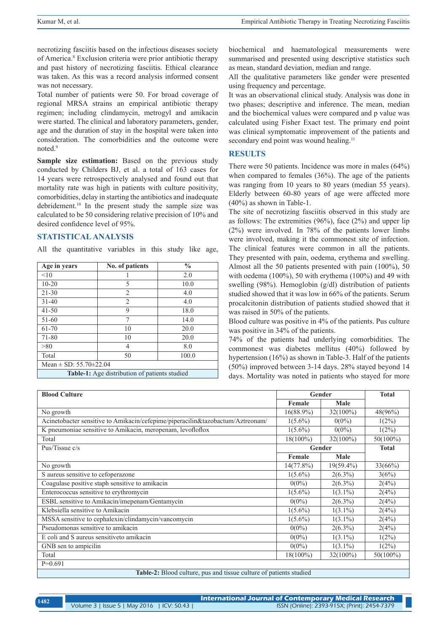necrotizing fasciitis based on the infectious diseases society of America.8 Exclusion criteria were prior antibiotic therapy and past history of necrotizing fasciitis. Ethical clearance was taken. As this was a record analysis informed consent was not necessary.

Total number of patients were 50. For broad coverage of regional MRSA strains an empirical antibiotic therapy regimen; including clindamycin, metrogyl and amikacin were started. The clinical and laboratory parameters, gender, age and the duration of stay in the hospital were taken into consideration. The comorbidities and the outcome were noted.<sup>9</sup>

**Sample size estimation:** Based on the previous study conducted by Childers BJ, et al. a total of 163 cases for 14 years were retrospectively analysed and found out that mortality rate was high in patients with culture positivity, comorbidities, delay in starting the antibiotics and inadequate debridement.<sup>10</sup> In the present study the sample size was calculated to be 50 considering relative precision of 10% and desired confidence level of 95%.

#### **STATISTICAL ANALYSIS**

All the quantitative variables in this study like age,

| Age in years                                         | No. of patients | $\frac{0}{0}$ |  |
|------------------------------------------------------|-----------------|---------------|--|
| <10                                                  |                 | 2.0           |  |
| $10 - 20$                                            | 5               | 10.0          |  |
| $21 - 30$                                            | 2               | 4.0           |  |
| $31 - 40$                                            | 2               | 4.0           |  |
| $41 - 50$                                            | 9               | 18.0          |  |
| 51-60                                                | $\tau$          | 14.0          |  |
| 61-70                                                | 10              | 20.0          |  |
| 71-80                                                | 10              | 20.0          |  |
| > 80                                                 | 4               | 8.0           |  |
| Total                                                | 50              | 100.0         |  |
| Mean $\pm$ SD: 55.70 $\pm$ 22.04                     |                 |               |  |
| <b>Table-1:</b> Age distribution of patients studied |                 |               |  |

biochemical and haematological measurements were summarised and presented using descriptive statistics such as mean, standard deviation, median and range.

All the qualitative parameters like gender were presented using frequency and percentage.

It was an observational clinical study. Analysis was done in two phases; descriptive and inference. The mean, median and the biochemical values were compared and p value was calculated using Fisher Exact test. The primary end point was clinical symptomatic improvement of the patients and secondary end point was wound healing.<sup>11</sup>

#### **RESULTS**

There were 50 patients. Incidence was more in males (64%) when compared to females (36%). The age of the patients was ranging from 10 years to 80 years (median 55 years). Elderly between 60-80 years of age were affected more (40%) as shown in Table-1.

The site of necrotizing fasciitis observed in this study are as follows: The extremities (96%), face (2%) and upper lip (2%) were involved. In 78% of the patients lower limbs were involved, making it the commonest site of infection. The clinical features were common in all the patients. They presented with pain, oedema, erythema and swelling. Almost all the 50 patients presented with pain (100%), 50 with oedema (100%), 50 with erythema (100%) and 49 with swelling (98%). Hemoglobin (g/dl) distribution of patients studied showed that it was low in 66% of the patients. Serum procalcitonin distribution of patients studied showed that it was raised in 50% of the patients.

Blood culture was positive in 4% of the patients. Pus culture was positive in 34% of the patients.

74% of the patients had underlying comorbidities. The commonest was diabetes mellitus (40%) followed by hypertension (16%) as shown in Table-3. Half of the patients (50%) improved between 3-14 days. 28% stayed beyond 14 days. Mortality was noted in patients who stayed for more

| <b>Blood Culture</b>                                                           | Gender                 |              | <b>Total</b> |
|--------------------------------------------------------------------------------|------------------------|--------------|--------------|
|                                                                                | Female                 | Male         |              |
| No growth                                                                      | $16(88.9\%)$           | $32(100\%)$  | $48(96\%)$   |
| Acinetobacter sensitive to Amikacin/cefepime/piperacilin&tazobactum/Aztreonam/ | $1(5.6\%)$             | $0(0\%)$     | $1(2\%)$     |
| K pneumoniae sensitive to Amikacin, meropenam, levofloflox                     | $1(5.6\%)$             | $0(0\%)$     | $1(2\%)$     |
| Total                                                                          | $18(100\%)$            | $32(100\%)$  | $50(100\%)$  |
| Pus/Tissue c/s                                                                 | Gender<br><b>Total</b> |              |              |
|                                                                                | Female                 | Male         |              |
| No growth                                                                      | $14(77.8\%)$           | $19(59.4\%)$ | 33(66%)      |
| S aureus sensitive to cefoperazone                                             | $1(5.6\%)$             | $2(6.3\%)$   | 3(6%)        |
| Coagulase positive staph sensitive to amikacin                                 | $0(0\%)$               | $2(6.3\%)$   | 2(4%)        |
| Enterococcus sensitive to erythromycin                                         | $1(5.6\%)$             | $1(3.1\%)$   | 2(4%)        |
| ESBL sensitive to Amikacin/imepenam/Gentamycin                                 | $0(0\%)$               | $2(6.3\%)$   | 2(4%)        |
| Klebsiella sensitive to Amikacin                                               | $1(5.6\%)$             | $1(3.1\%)$   | 2(4%)        |
| MSSA sensitive to cephalexin/clindamycin/vancomycin                            | $1(5.6\%)$             | $1(3.1\%)$   | 2(4%)        |
| Pseudomonas sensitive to amikacin                                              | $0(0\%)$               | $2(6.3\%)$   | 2(4%)        |
| E coli and S aureus sensitiveto amikacin                                       | $0(0\%)$               | $1(3.1\%)$   | $1(2\%)$     |
| GNB sen to ampicilin                                                           | $0(0\%)$               | $1(3.1\%)$   | $1(2\%)$     |
| Total                                                                          | $18(100\%)$            | $32(100\%)$  | $50(100\%)$  |
| $P=0.691$                                                                      |                        |              |              |

**Table-2:** Blood culture, pus and tissue culture of patients studied

| 1482 | International Journal of Contemporary Medical Research |                                              |  |
|------|--------------------------------------------------------|----------------------------------------------|--|
|      | Volume 3   Issue 5   May 2016   ICV: 50.43             | ISSN (Online): 2393-915X; (Print): 2454-7379 |  |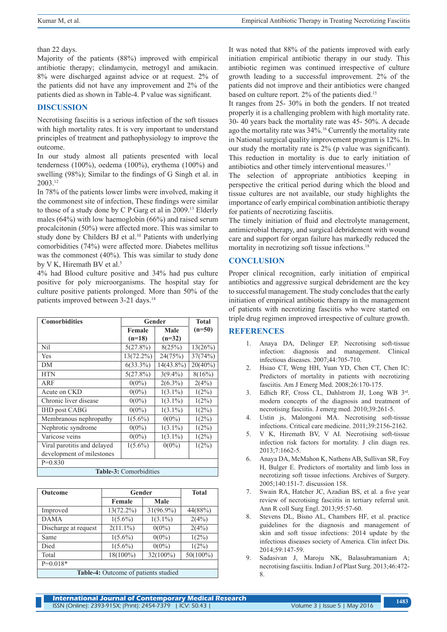#### than 22 days.

Majority of the patients (88%) improved with empirical antibiotic therapy; clindamycin, metrogyl and amikacin. 8% were discharged against advice or at request. 2% of the patients did not have any improvement and 2% of the patients died as shown in Table-4. P value was significant.

## **DISCUSSION**

Necrotising fasciitis is a serious infection of the soft tissues with high mortality rates. It is very important to understand principles of treatment and pathophysiology to improve the outcome.

In our study almost all patients presented with local tenderness (100%), oedema (100%), erythema (100%) and swelling (98%); Similar to the findings of G Singh et al. in 2003.12

In 78% of the patients lower limbs were involved, making it the commonest site of infection, These findings were similar to those of a study done by C P Garg et al in 2009.13 Elderly males (64%) with low haemoglobin (66%) and raised serum procalcitonin (50%) were affected more. This was similar to study done by Childers BJ et al.<sup>10</sup> Patients with underlying comorbidities (74%) were affected more. Diabetes mellitus was the commonest (40%). This was similar to study done by V K, Hiremath BV et al.<sup>5</sup>

4% had Blood culture positive and 34% had pus culture positive for poly microorganisms. The hospital stay for culture positive patients prolonged. More than 50% of the patients improved between 3-21 days.<sup>14</sup>

| <b>Comorbidities</b>        | Gender       | <b>Total</b> |            |  |
|-----------------------------|--------------|--------------|------------|--|
|                             | Female       | Male         | $(n=50)$   |  |
|                             | $(n=18)$     | $(n=32)$     |            |  |
| Nil                         | 5(27.8%)     | 8(25%)       | 13(26%)    |  |
| Yes                         | $13(72.2\%)$ | 24(75%)      | 37(74%)    |  |
| DM                          | $6(33.3\%)$  | 14(43.8%)    | $20(40\%)$ |  |
| <b>HTN</b>                  | $5(27.8\%)$  | $3(9.4\%)$   | 8(16%)     |  |
| ARF                         | $0(0\%)$     | $2(6.3\%)$   | 2(4%)      |  |
| Acute on CKD                | $0(0\%)$     | $1(3.1\%)$   | $1(2\%)$   |  |
| Chronic liver disease       | $0(0\%)$     | $1(3.1\%)$   | $1(2\%)$   |  |
| <b>IHD</b> post CABG        | $0(0\%)$     | $1(3.1\%)$   | $1(2\%)$   |  |
| Membranous nephropathy      | $1(5.6\%)$   | $0(0\%)$     | $1(2\%)$   |  |
| Nephrotic syndrome          | $0(0\%)$     | $1(3.1\%)$   | $1(2\%)$   |  |
| Varicose veins              | $0(0\%)$     | $1(3.1\%)$   | $1(2\%)$   |  |
| Viral parotitis and delayed | $1(5.6\%)$   | $0(0\%)$     | $1(2\%)$   |  |
| development of milestones   |              |              |            |  |
| $P=0.830$                   |              |              |            |  |
| Table-3: Comorbidities      |              |              |            |  |

| <b>Outcome</b>                       | Gender       |             | <b>Total</b> |
|--------------------------------------|--------------|-------------|--------------|
|                                      | Female       | Male        |              |
| Improved                             | $13(72.2\%)$ | 31(96.9%)   | 44(88%)      |
| <b>DAMA</b>                          | $1(5.6\%)$   | $1(3.1\%)$  | 2(4%)        |
| Discharge at request                 | $2(11.1\%)$  | $0(0\%)$    | 2(4%)        |
| Same                                 | $1(5.6\%)$   | $0(0\%)$    | $1(2\%)$     |
| Died                                 | $1(5.6\%)$   | $0(0\%)$    | $1(2\%)$     |
| Total                                | $18(100\%)$  | $32(100\%)$ | $50(100\%)$  |
| $P=0.018*$                           |              |             |              |
| Table-4: Outcome of patients studied |              |             |              |

It was noted that 88% of the patients improved with early initiation empirical antibiotic therapy in our study. This antibiotic regimen was continued irrespective of culture growth leading to a successful improvement. 2% of the patients did not improve and their antibiotics were changed based on culture report. 2% of the patients died.<sup>15</sup>

It ranges from 25- 30% in both the genders. If not treated properly it is a challenging problem with high mortality rate. 30- 40 years back the mortality rate was 45- 50%. A decade ago the mortality rate was 34%.16 Currently the mortality rate in National surgical quality improvement program is 12%. In our study the mortality rate is 2% (p value was significant). This reduction in mortality is due to early initiation of antibiotics and other timely interventional measures.<sup>17</sup>

The selection of appropriate antibiotics keeping in perspective the critical period during which the blood and tissue cultures are not available, our study highlights the importance of early empirical combination antibiotic therapy for patients of necrotizing fasciitis.

The timely initiation of fluid and electrolyte management, antimicrobial therapy, and surgical debridement with wound care and support for organ failure has markedly reduced the mortality in necrotizing soft tissue infections.<sup>18</sup>

# **CONCLUSION**

Proper clinical recognition, early initiation of empirical antibiotics and aggressive surgical debridement are the key to successful management. The study concludes that the early initiation of empirical antibiotic therapy in the management of patients with necrotizing fasciitis who were started on triple drug regimen improved irrespective of culture growth.

# **REFERENCES**

- 1. Anaya DA, Delinger EP. Necrotising soft-tissue infection: diagnosis and management. Clinical infectious diseases. 2007;44:705-710.
- 2. Hsiao CT, Weng HH, Yuan YD, Chen CT, Chen IC: Predictors of mortality in patients with necrotizing fasciitis. Am J Emerg Med. 2008;26:170-175.
- 3. Edlich RF, Cross CL, Dahlstrom JJ, Long WB 3rd. modern concepts of the diagnosis and treatment of necrotising fasciitis. J emerg med. 2010;39:261-5.
- 4. Ustin js, Malongoni MA. Necrotising soft-tissue infections. Critical care medicine. 2011;39:2156-2162.
- 5. V K, Hiremath BV, V AI. Necrotising soft-tissue infection risk factors for mortality. J clin diagn res. 2013;7:1662-5.
- 6. Anaya DA, McMahon K, Nathens AB, Sullivan SR, Foy H, Bulger E. Predictors of mortality and limb loss in necrotizing soft tissue infections. Archives of Surgery. 2005;140:151-7. discussion 158.
- 7. Swain RA, Hatcher JC, Azadian BS, et al. a five year review of necrotising fasciitis in tertiary referral unit. Ann R coll Surg Engl. 2013;95:57-60.
- 8. Stevens DL, Bisno AL, Chambers HF, et al. practice guidelines for the diagnosis and management of skin and soft tissue infections: 2014 update by the infectious diseases society of America. Clin infect Dis. 2014;59:147-59.
- 9. Sadasivan J, Maroju NK, Balasubramaniam A; necrotising fasciitis. Indian J of Plast Surg. 2013;46:472- 8.

**International Journal of Contemporary Medical Research**  ISSN (Online): 2393-915X; (Print): 2454-7379 | ICV: 50.43 | Volume 3 | Issue 5 | May 2016 **<sup>1483</sup>**